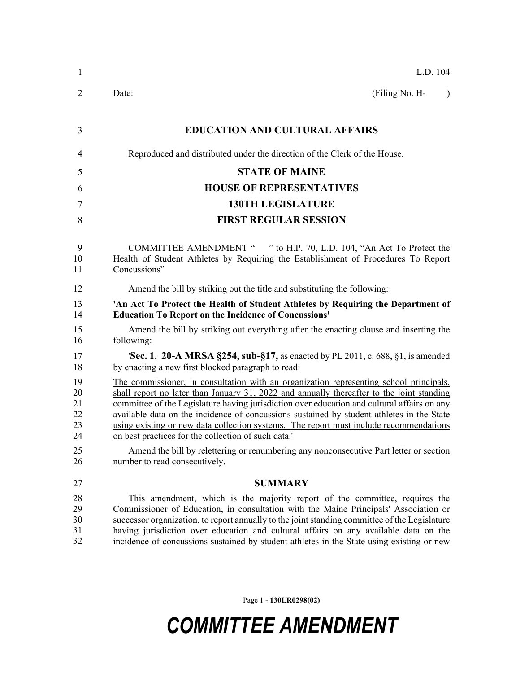| 1                                | L.D. 104                                                                                                                                                                                                                                                                                                                                                                                                                                                                                                                        |
|----------------------------------|---------------------------------------------------------------------------------------------------------------------------------------------------------------------------------------------------------------------------------------------------------------------------------------------------------------------------------------------------------------------------------------------------------------------------------------------------------------------------------------------------------------------------------|
| $\overline{2}$                   | (Filing No. H-<br>Date:<br>$\lambda$                                                                                                                                                                                                                                                                                                                                                                                                                                                                                            |
| 3                                | <b>EDUCATION AND CULTURAL AFFAIRS</b>                                                                                                                                                                                                                                                                                                                                                                                                                                                                                           |
| 4                                | Reproduced and distributed under the direction of the Clerk of the House.                                                                                                                                                                                                                                                                                                                                                                                                                                                       |
| 5                                | <b>STATE OF MAINE</b>                                                                                                                                                                                                                                                                                                                                                                                                                                                                                                           |
| 6                                | <b>HOUSE OF REPRESENTATIVES</b>                                                                                                                                                                                                                                                                                                                                                                                                                                                                                                 |
| 7                                | <b>130TH LEGISLATURE</b>                                                                                                                                                                                                                                                                                                                                                                                                                                                                                                        |
| 8                                | <b>FIRST REGULAR SESSION</b>                                                                                                                                                                                                                                                                                                                                                                                                                                                                                                    |
| 9<br>10<br>11                    | COMMITTEE AMENDMENT " " to H.P. 70, L.D. 104, "An Act To Protect the<br>Health of Student Athletes by Requiring the Establishment of Procedures To Report<br>Concussions"                                                                                                                                                                                                                                                                                                                                                       |
| 12                               | Amend the bill by striking out the title and substituting the following:                                                                                                                                                                                                                                                                                                                                                                                                                                                        |
| 13<br>14                         | 'An Act To Protect the Health of Student Athletes by Requiring the Department of<br><b>Education To Report on the Incidence of Concussions'</b>                                                                                                                                                                                                                                                                                                                                                                                 |
| 15<br>16                         | Amend the bill by striking out everything after the enacting clause and inserting the<br>following:                                                                                                                                                                                                                                                                                                                                                                                                                             |
| 17<br>18                         | 'Sec. 1. 20-A MRSA §254, sub-§17, as enacted by PL 2011, c. 688, §1, is amended<br>by enacting a new first blocked paragraph to read:                                                                                                                                                                                                                                                                                                                                                                                           |
| 19<br>20<br>21<br>22<br>23<br>24 | The commissioner, in consultation with an organization representing school principals,<br>shall report no later than January 31, 2022 and annually thereafter to the joint standing<br>committee of the Legislature having jurisdiction over education and cultural affairs on any<br>available data on the incidence of concussions sustained by student athletes in the State<br>using existing or new data collection systems. The report must include recommendations<br>on best practices for the collection of such data. |
| 25<br>26                         | Amend the bill by relettering or renumbering any nonconsecutive Part letter or section<br>number to read consecutively.                                                                                                                                                                                                                                                                                                                                                                                                         |
| 27                               | <b>SUMMARY</b>                                                                                                                                                                                                                                                                                                                                                                                                                                                                                                                  |
| 28<br>29<br>30<br>31<br>32       | This amendment, which is the majority report of the committee, requires the<br>Commissioner of Education, in consultation with the Maine Principals' Association or<br>successor organization, to report annually to the joint standing committee of the Legislature<br>having jurisdiction over education and cultural affairs on any available data on the<br>incidence of concussions sustained by student athletes in the State using existing or new                                                                       |

Page 1 - **130LR0298(02)**

## *COMMITTEE AMENDMENT*